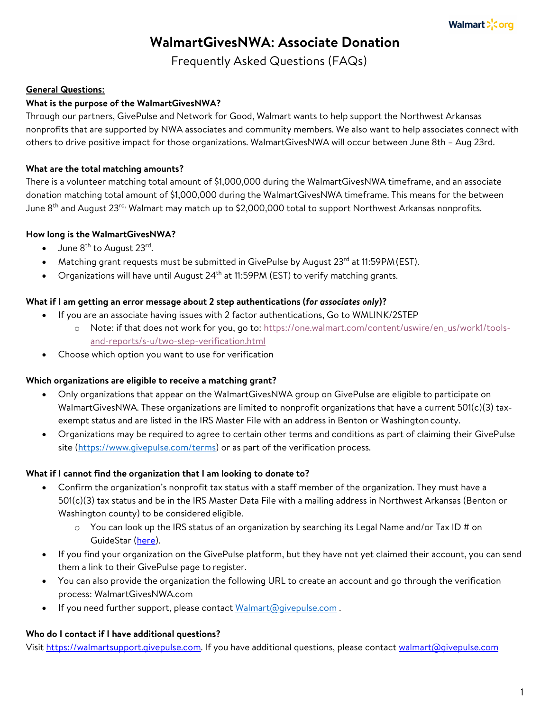# **WalmartGivesNWA: Associate Donation**

Frequently Asked Questions (FAQs)

# **General Questions:**

# **What is the purpose of the WalmartGivesNWA?**

Through our partners, GivePulse and Network for Good, Walmart wants to help support the Northwest Arkansas nonprofits that are supported by NWA associates and community members. We also want to help associates connect with others to drive positive impact for those organizations. WalmartGivesNWA will occur between June 8th – Aug 23rd.

# **What are the total matching amounts?**

There is a volunteer matching total amount of \$1,000,000 during the WalmartGivesNWA timeframe, and an associate donation matching total amount of \$1,000,000 during the WalmartGivesNWA timeframe. This means for the between June 8<sup>th</sup> and August 23<sup>rd,</sup> Walmart may match up to \$2,000,000 total to support Northwest Arkansas nonprofits.

# **How long is the WalmartGivesNWA?**

- $\bullet$  June 8<sup>th</sup> to August 23<sup>rd</sup>.
- Matching grant requests must be submitted in GivePulse by August 23<sup>rd</sup> at 11:59PM (EST).
- Organizations will have until August  $24<sup>th</sup>$  at 11:59PM (EST) to verify matching grants.

# **What if I am getting an error message about 2 step authentications (***for associates only***)?**

- If you are an associate having issues with 2 factor authentications, Go to WMLINK/2STEP
	- o Note: if that does not work for you, go to: https://one.walmart.com/content/uswire/en\_us/work1/toolsand-reports/s-u/two-step-verification.html
- Choose which option you want to use for verification

# **Which organizations are eligible to receive a matching grant?**

- Only organizations that appear on the WalmartGivesNWA group on GivePulse are eligible to participate on WalmartGivesNWA. These organizations are limited to nonprofit organizations that have a current 501(c)(3) taxexempt status and are listed in the IRS Master File with an address in Benton or Washingtoncounty.
- Organizations may be required to agree to certain other terms and conditions as part of claiming their GivePulse site (https://www.givepulse.com/terms) or as part of the verification process.

# **What if I cannot find the organization that I am looking to donate to?**

- Confirm the organization's nonprofit tax status with a staff member of the organization. They must have a 501(c)(3) tax status and be in the IRS Master Data File with a mailing address in Northwest Arkansas (Benton or Washington county) to be considered eligible.
	- $\circ$  You can look up the IRS status of an organization by searching its Legal Name and/or Tax ID # on GuideStar (here).
- If you find your organization on the GivePulse platform, but they have not yet claimed their account, you can send them a link to their GivePulse page to register.
- You can also provide the organization the following URL to create an account and go through the verification process: WalmartGivesNWA.com
- If you need further support, please contact Walmart@givepulse.com.

# **Who do I contact if I have additional questions?**

Visit https://walmartsupport.givepulse.com. If you have additional questions, please contact walmart@givepulse.com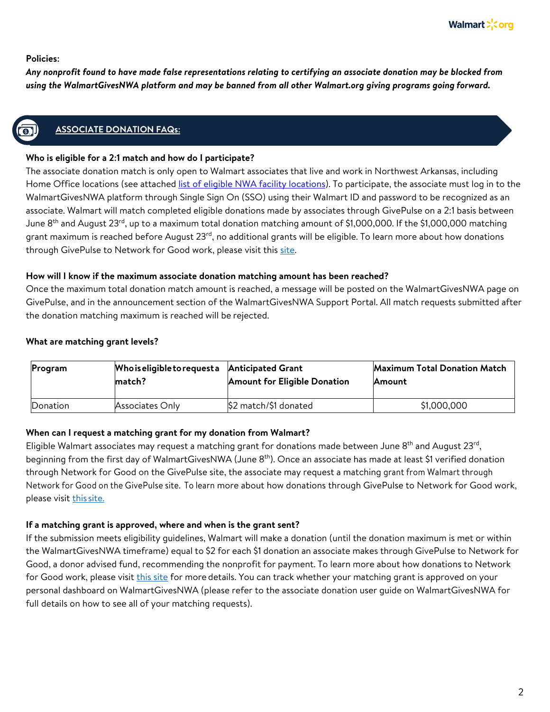#### **Policies:**

*Any nonprofit found to have made false representations relating to certifying an associate donation may be blocked from using the WalmartGivesNWA platform and may be banned from all other Walmart.org giving programs going forward.*

# **ASSOCIATE DONATION FAQs:**

#### **Who is eligible for a 2:1 match and how do I participate?**

The associate donation match is only open to Walmart associates that live and work in Northwest Arkansas, including Home Office locations (see attached list of eligible NWA facility locations). To participate, the associate must log in to the WalmartGivesNWA platform through Single Sign On (SSO) using their Walmart ID and password to be recognized as an associate. Walmart will match completed eligible donations made by associates through GivePulse on a 2:1 basis between June 8<sup>th</sup> and August 23<sup>rd</sup>, up to a maximum total donation matching amount of \$1,000,000. If the \$1,000,000 matching grant maximum is reached before August 23<sup>rd</sup>, no additional grants will be eligible. To learn more about how donations through GivePulse to Network for Good work, please visit this site.

#### **How will I know if the maximum associate donation matching amount has been reached?**

Once the maximum total donation match amount is reached, a message will be posted on the WalmartGivesNWA page on GivePulse, and in the announcement section of the WalmartGivesNWA Support Portal. All match requests submitted after the donation matching maximum is reached will be rejected.

#### **What are matching grant levels?**

| Program  | Who is eligible to request a<br>match? | <b>Anticipated Grant</b><br><b>Amount for Eligible Donation</b> | <b>Maximum Total Donation Match</b><br><b>Amount</b> |
|----------|----------------------------------------|-----------------------------------------------------------------|------------------------------------------------------|
| Donation | Associates Only                        | \$2 match/\$1 donated                                           | \$1,000,000                                          |

#### **When can I request a matching grant for my donation from Walmart?**

Eligible Walmart associates may request a matching grant for donations made between June 8<sup>th</sup> and August 23<sup>rd</sup>, beginning from the first day of WalmartGivesNWA (June 8<sup>th</sup>). Once an associate has made at least \$1 verified donation through Network for Good on the GivePulse site, the associate may request a matching grant from Walmart through Network for Good on the GivePulse site. To learn more about how donations through GivePulse to Network for Good work, please visit this site.

#### **If a matching grant is approved, where and when is the grant sent?**

If the submission meets eligibility guidelines, Walmart will make a donation (until the donation maximum is met or within the WalmartGivesNWA timeframe) equal to \$2 for each \$1 donation an associate makes through GivePulse to Network for Good, a donor advised fund, recommending the nonprofit for payment. To learn more about how donations to Network for Good work, please visit this site for more details. You can track whether your matching grant is approved on your personal dashboard on WalmartGivesNWA (please refer to the associate donation user guide on WalmartGivesNWA for full details on how to see all of your matching requests).